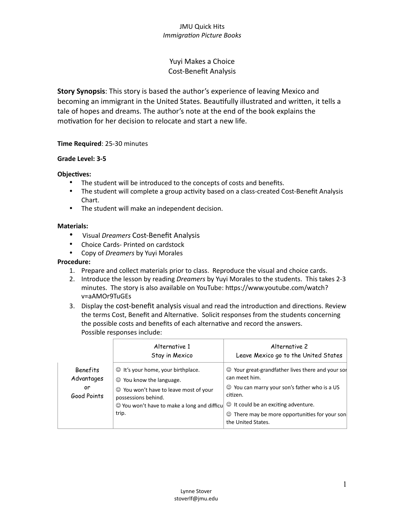# Yuyi Makes a Choice Cost-Benefit Analysis

**Story Synopsis**: This story is based the author's experience of leaving Mexico and becoming an immigrant in the United States. Beautifully illustrated and written, it tells a tale of hopes and dreams. The author's note at the end of the book explains the motivation for her decision to relocate and start a new life.

#### **Time Required**: 25-30 minutes

#### **Grade Level: 3-5**

### **Objectives:**

- The student will be introduced to the concepts of costs and benefits.
- The student will complete a group activity based on a class-created Cost-Benefit Analysis Chart.
- The student will make an independent decision.

#### **Materials:**

- Visual *Dreamers* Cost-Benefit Analysis
- Choice Cards- Printed on cardstock
- Copy of *Dreamers* by Yuyi Morales

#### **Procedure:**

- 1. Prepare and collect materials prior to class. Reproduce the visual and choice cards.
- 2. Introduce the lesson by reading *Dreamers* by Yuyi Morales to the students. This takes 2-3 minutes. The story is also available on YouTube: https://www.youtube.com/watch? v=aAMOr9TuGEs
- 3. Display the cost-benefit analysis visual and read the introduction and directions. Review the terms Cost, Benefit and Alternative. Solicit responses from the students concerning the possible costs and benefits of each alternative and record the answers. Possible responses include:

|                                             | Alternative 1<br>Stay in Mexico                                                                                                                                                                           | Alternative 2<br>Leave Mexico go to the United States                                                                                                                                                                                                             |
|---------------------------------------------|-----------------------------------------------------------------------------------------------------------------------------------------------------------------------------------------------------------|-------------------------------------------------------------------------------------------------------------------------------------------------------------------------------------------------------------------------------------------------------------------|
| Benefits<br>Advantages<br>or<br>Good Points | $\odot$ It's your home, your birthplace.<br>$\odot$ You know the language.<br>○ You won't have to leave most of your<br>possessions behind.<br>$\odot$ You won't have to make a long and difficu<br>trip. | $\odot$ Your great-grandfather lives there and your sor<br>can meet him.<br>© You can marry your son's father who is a US<br>citizen.<br>$\odot$ It could be an exciting adventure.<br>$\odot$ There may be more opportunities for your son<br>the United States. |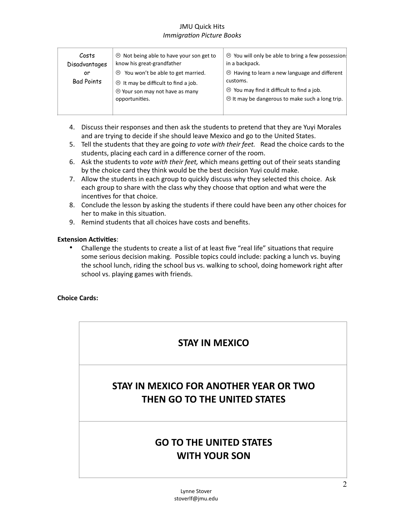| Costs             | <sup>⊙</sup> Not being able to have your son get to | <sup>⊙</sup> You will only be able to bring a few possession!                                       |
|-------------------|-----------------------------------------------------|-----------------------------------------------------------------------------------------------------|
| Disadvantages     | know his great-grandfather                          | in a backpack.                                                                                      |
| or                | $\odot$ You won't be able to get married.           | $\odot$ Having to learn a new language and different                                                |
| <b>Bad Points</b> | $\odot$ It may be difficult to find a job.          | customs.                                                                                            |
|                   | O Your son may not have as many<br>opportunities.   | $\odot$ You may find it difficult to find a job.<br>8 It may be dangerous to make such a long trip. |

- 4. Discuss their responses and then ask the students to pretend that they are Yuyi Morales and are trying to decide if she should leave Mexico and go to the United States.
- 5. Tell the students that they are going *to vote with their feet.* Read the choice cards to the students, placing each card in a difference corner of the room.
- 6. Ask the students to *vote with their feet,* which means getting out of their seats standing by the choice card they think would be the best decision Yuyi could make.
- 7. Allow the students in each group to quickly discuss why they selected this choice. Ask each group to share with the class why they choose that option and what were the incentives for that choice.
- 8. Conclude the lesson by asking the students if there could have been any other choices for her to make in this situation.
- 9. Remind students that all choices have costs and benefits.

#### **Extension Activities**:

• Challenge the students to create a list of at least five "real life" situations that require some serious decision making. Possible topics could include: packing a lunch vs. buying the school lunch, riding the school bus vs. walking to school, doing homework right after school vs. playing games with friends.

#### **Choice Cards:**

# **STAY IN MEXICO**

# **STAY IN MEXICO FOR ANOTHER YEAR OR TWO THEN GO TO THE UNITED STATES**

# **GO TO THE UNITED STATES WITH YOUR SON**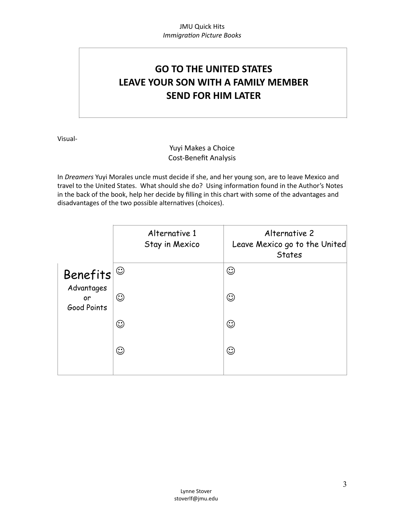# **GO TO THE UNITED STATES LEAVE YOUR SON WITH A FAMILY MEMBER SEND FOR HIM LATER**

Visual-

# Yuyi Makes a Choice Cost-Benefit Analysis

In *Dreamers* Yuyi Morales uncle must decide if she, and her young son, are to leave Mexico and travel to the United States. What should she do? Using information found in the Author's Notes in the back of the book, help her decide by filling in this chart with some of the advantages and disadvantages of the two possible alternatives (choices).

|                                 | Alternative 1<br>Stay in Mexico | Alternative 2<br>Leave Mexico go to the United<br><b>States</b> |
|---------------------------------|---------------------------------|-----------------------------------------------------------------|
| <b>Benefits</b>                 | $\odot$                         | ☺                                                               |
| Advantages<br>or<br>Good Points | $\odot$                         | ☺                                                               |
|                                 | $\odot$                         | ☺                                                               |
|                                 | $\odot$                         | ☺                                                               |
|                                 |                                 |                                                                 |